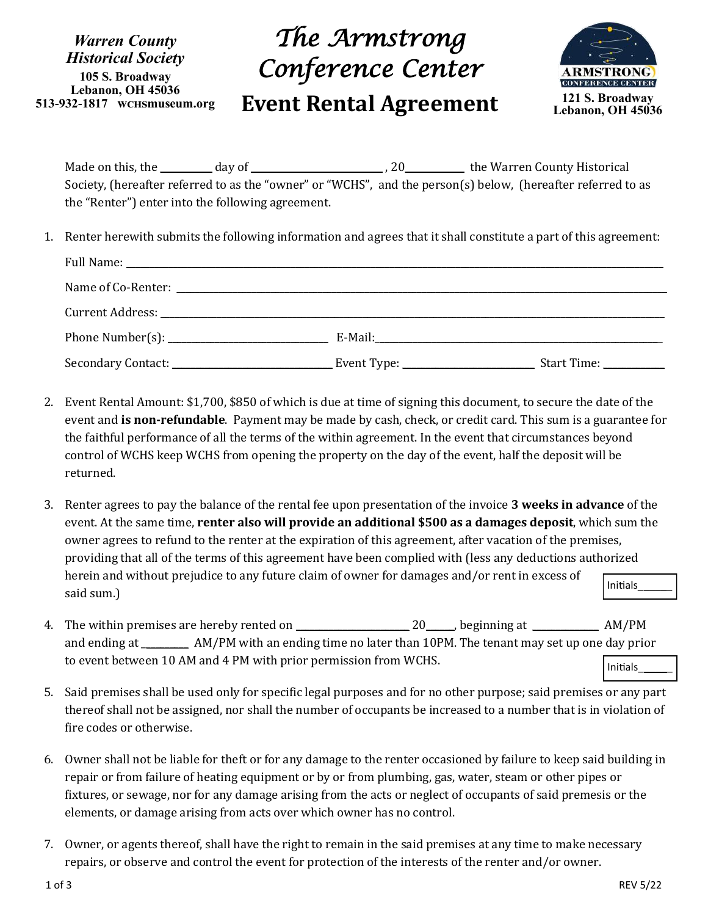*Warren County Historical Society* **105 S. Broadway Lebanon, OH 45036 513-932-1817 wchsmuseum.org**

## *The Armstrong Conference Center*  **Event Rental Agreement 121 S. Broadway**



Made on this, the \_\_\_\_\_\_\_\_\_\_\_ day of \_\_\_\_\_\_\_\_\_\_\_\_\_\_\_\_\_\_\_\_\_\_\_\_\_\_\_\_ , 20\_\_\_\_\_\_\_\_\_\_\_\_ the Warren County Historical Society, (hereafter referred to as the "owner" or "WCHS", and the person(s) below, (hereafter referred to as the "Renter") enter into the following agreement.

1. Renter herewith submits the following information and agrees that it shall constitute a part of this agreement:

|  | Start Time: |
|--|-------------|

- 2. Event Rental Amount: \$1,700, \$850 of which is due at time of signing this document, to secure the date of the event and **is non-refundable**. Payment may be made by cash, check, or credit card. This sum is a guarantee for the faithful performance of all the terms of the within agreement. In the event that circumstances beyond control of WCHS keep WCHS from opening the property on the day of the event, half the deposit will be returned.
- 3. Renter agrees to pay the balance of the rental fee upon presentation of the invoice **3 weeks in advance** of the event. At the same time, **renter also will provide an additional \$500 as a damages deposit**, which sum the owner agrees to refund to the renter at the expiration of this agreement, after vacation of the premises, providing that all of the terms of this agreement have been complied with (less any deductions authorized herein and without prejudice to any future claim of owner for damages and/or rent in excess of said sum.) Initials\_\_\_\_\_\_
- 4. The within premises are hereby rented on  $20$ , beginning at  $AM/PM$ and ending at \_\_\_\_\_\_\_\_\_\_ AM/PM with an ending time no later than 10PM. The tenant may set up one day prior to event between 10 AM and 4 PM with prior permission from WCHS. Initials\_\_\_\_\_\_
- 5. Said premises shall be used only for specific legal purposes and for no other purpose; said premises or any part thereof shall not be assigned, nor shall the number of occupants be increased to a number that is in violation of fire codes or otherwise.
- 6. Owner shall not be liable for theft or for any damage to the renter occasioned by failure to keep said building in repair or from failure of heating equipment or by or from plumbing, gas, water, steam or other pipes or fixtures, or sewage, nor for any damage arising from the acts or neglect of occupants of said premesis or the elements, or damage arising from acts over which owner has no control.
- 7. Owner, or agents thereof, shall have the right to remain in the said premises at any time to make necessary repairs, or observe and control the event for protection of the interests of the renter and/or owner.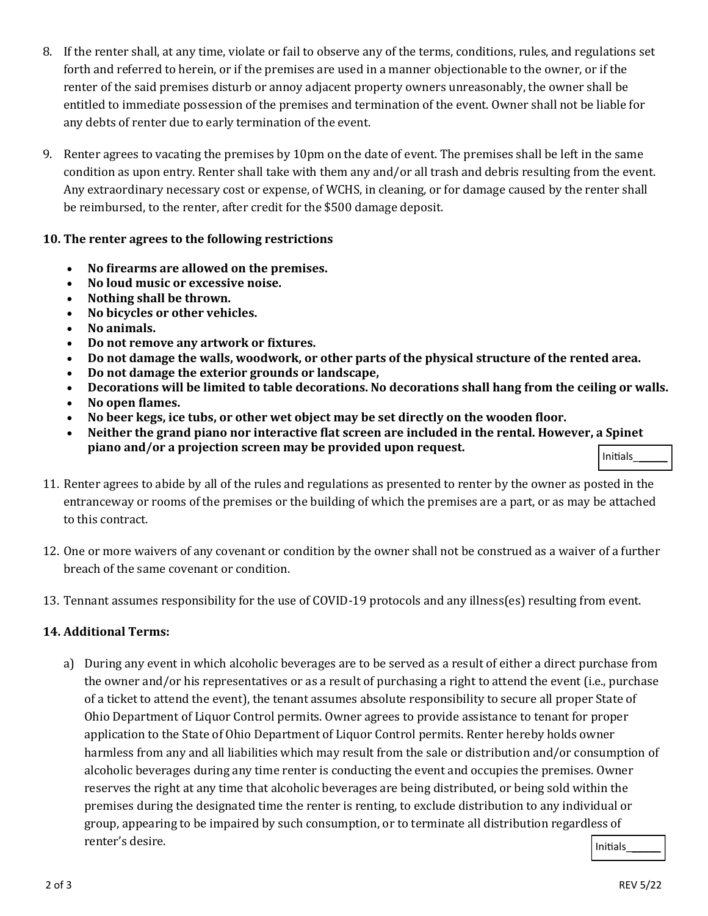- 8. If the renter shall, at any time, violate or fail to observe any of the terms, conditions, rules, and regulations set forth and referred to herein, or if the premises are used in a manner objectionable to the owner, or if the renter of the said premises disturb or annoy adjacent property owners unreasonably, the owner shall be entitled to immediate possession of the premises and termination of the event. Owner shall not be liable for any debts of renter due to early termination of the event.
- 9. Renter agrees to vacating the premises by 10pm on the date of event. The premises shall be left in the same condition as upon entry. Renter shall take with them any and/or all trash and debris resulting from the event. Any extraordinary necessary cost or expense, of WCHS, in cleaning, or for damage caused by the renter shall be reimbursed, to the renter, after credit for the \$500 damage deposit.

## **10. The renter agrees to the following restrictions**

- **No firearms are allowed on the premises.**
- **No loud music or excessive noise.**
- **Nothing shall be thrown.**
- **No bicycles or other vehicles.**
- **No animals.**
- **Do not remove any artwork or fixtures.**
- **Do not damage the walls, woodwork, or other parts of the physical structure of the rented area.**
- **Do not damage the exterior grounds or landscape,**
- **Decorations will be limited to table decorations. No decorations shall hang from the ceiling or walls.**
- **No open flames.**
- **No beer kegs, ice tubs, or other wet object may be set directly on the wooden floor.**
- Initials\_\_\_\_\_\_ **Neither the grand piano nor interactive flat screen are included in the rental. However, a Spinet piano and/or a projection screen may be provided upon request.**
- 11. Renter agrees to abide by all of the rules and regulations as presented to renter by the owner as posted in the entranceway or rooms of the premises or the building of which the premises are a part, or as may be attached to this contract.
- 12. One or more waivers of any covenant or condition by the owner shall not be construed as a waiver of a further breach of the same covenant or condition.
- 13. Tennant assumes responsibility for the use of COVID-19 protocols and any illness(es) resulting from event.

## **14. Additional Terms:**

a) During any event in which alcoholic beverages are to be served as a result of either a direct purchase from the owner and/or his representatives or as a result of purchasing a right to attend the event (i.e., purchase of a ticket to attend the event), the tenant assumes absolute responsibility to secure all proper State of Ohio Department of Liquor Control permits. Owner agrees to provide assistance to tenant for proper application to the State of Ohio Department of Liquor Control permits. Renter hereby holds owner harmless from any and all liabilities which may result from the sale or distribution and/or consumption of alcoholic beverages during any time renter is conducting the event and occupies the premises. Owner reserves the right at any time that alcoholic beverages are being distributed, or being sold within the premises during the designated time the renter is renting, to exclude distribution to any individual or group, appearing to be impaired by such consumption, or to terminate all distribution regardless of renter's desire. Initials\_\_\_\_\_\_